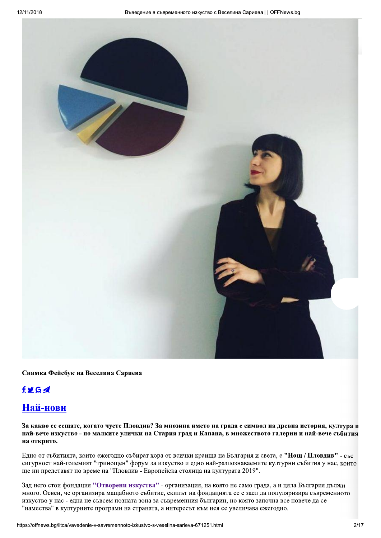

Снимка Фейсбук на Веселина Сариева

## $f \times G$

# Най-нови

За какво се сещате, когато чуете Пловдив? За мнозина името на града е символ на древна история, култура и най-вече изкуство - по малките улички на Стария град и Капана, в множеството галерии и най-вече събития на открито.

Едно от събитията, които ежегодно събират хора от всички краища на България и света, е "Нощ / Пловдив" - със сигурност най-големият "тринощен" форум за изкуство и едно най-разпознаваемите културни събития у нас, които ще ни представят по време на "Пловдив - Европейска столица на културата 2019".

Зад него стои фондация "Отворени изкуства" - организация, на която не само града, а и цяла България дължи много. Освен, че организира мащабното събитие, екипът на фондацията се е заел да популяризира съвременното изкуство у нас - една не съвсем позната зона за съвременния българин, но която започна все повече да се "намества" в културните програми на страната, а интересът към нея се увеличава ежегодно.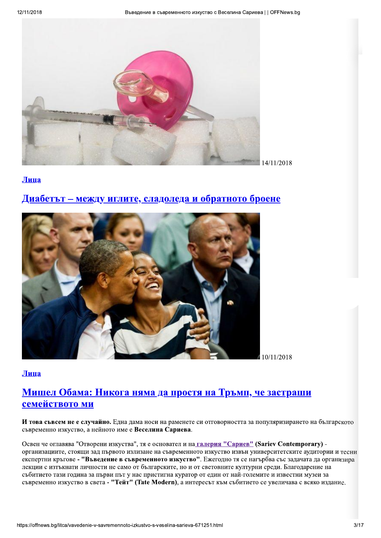

Лица

# Диабетът – между иглите, сладоледа и обратното броене



Лица

# Мишел Обама: Никога няма да простя на Тръмп, че застраши семейството ми

И това съвсем не е случайно. Една дама носи на раменете си отговорността за популяризирането на българското съвременно изкуство, а нейното име е Веселина Сариева.

Освен че оглавява "Отворени изкуства", тя е основател и на галерия "Сариев" (Sariev Contemporary) организациите, стоящи зад първото излизане на съвременното изкуство извън университетските аудитории и тесни експертни кръгове - "Въведение в съвременното изкуство". Ежегодно тя се нагърбва със задачата да организира лекции с изтъкнати личности не само от българските, но и от световните културни среди. Благодарение на събитието тази година за първи път у нас пристигна куратор от един от най-големите и известни музеи за съвременно изкуство в света - "Тейт" (Tate Modern), а интересът към събитието се увеличава с всяко издание.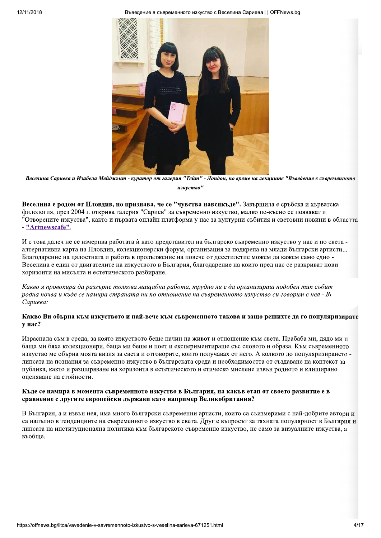Въведение в съвременното изкуство с Веселина Сариева | | OFFNews.bg



Веселина Сариева и Изабела Мейдмыт - куратор от галерия "Тейт" - Лондон, по време на лекциите "Въведение в съвременното изкуство"

Веселина е родом от Пловдив, но признава, че се "чувства навсякъде". Завършила е сръбска и хърватска филология, през 2004 г. открива галерия "Сариев" за съвременно изкуство, малко по-късно се появяват и "Отворените изкуства", както и първата онлайн платформа у нас за културни събития и световни новини в областта - "Artnewscafe".

И с това далеч не се изчерпва работата ѝ като представител на българско съвременно изкуство у нас и по света алтернативна карта на Пловлив, колекционерски форум, организация за полкрепа на млали български артисти... Благодарение на цялостната и работа в продължение на повече от десетилетие можем да кажем само едно -Веселина е един от двигателите на изкуството в България, благодарение на които пред нас се разкриват нови хоризонти на мисълта и естетическото разбиране.

Какво я провокира да разгърне толкова машабна работа, трудно ли е да организираш подобен тип събит родна почва и къде се намира страната ни по отношение на съвременното изкуство си говорим с нея - Ве Сариева:

### Какво Ви обърна към изкуството и най-вече към съвременното такова и защо решихте да го популяризирате у нас?

Израснала съм в среда, за която изкуството беше начин на живот и отношение към света. Прабаба ми, дядо ми и баща ми бяха колекционери, баща ми беше и поет и експериментираше със словото и образа. Към съвременното изкуство ме обърна моята визия за света и отговорите, които получавах от него. А колкото до популяризирането липсата на познания за съвременно изкуство в българската среда и необходимостта от създаване на контекст за публика, както и разширяване на хоризонта в естетическото и етическо мислене извън родното и клиширано оценяване на стойности.

### Къде се намира в момента съвременното изкуство в България, на какъв етап от своето развитие е в сравнение с другите европейски държави като например Великобритания?

В България, а и извън нея, има много български съвременни артисти, които са съизмерими с най-добрите автори и са напълно в тенденциите на съвременното изкуство в света. Друг е въпросът за тяхната популярност в България и липсата на институционална политика към българското съвременно изкуство, не само за визуалните изкуства, а въобше.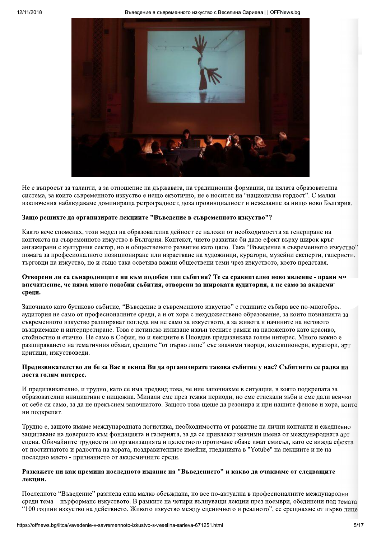

Не е въпросът за таланти, а за отношение на държавата, на традиционни формации, на цялата образователна система, за които съвременното изкуство е нещо екзотично, не е носител на "национална гордост". С малки изключения наблюдаваме доминираща ретроградност, доза провинциалност и нежелание за нищо ново България.

#### Защо решихте да организирате лекциите "Въведение в съвременното изкуство"?

Както вече споменах, този модел на образователна дейност се наложи от необходимостта за генериране на контекста на съвременното изкуство в България. Контекст, чието развитие би дало ефект върху широк кръг ангажирани с културния сектор, но и общественото развитие като цяло. Така "Въведение в съвременното изкуство" помага за професионалното позициониране или израстване на художници, куратори, музейни експерти, галеристи, търговци на изкуство, но и също така осветява важни обществени теми чрез изкуството, което представя.

#### Отворени ли са сънародниците ни към подобен тип събития? Те са сравнително ново явление - прави ми впечатление, че няма много подобни събития, отворени за широката аудитория, а не само за академи среди.

Започнало като бутиково събитие, "Въведение в съвременното изкуство" с годините събира все по-многобро. аудитория не само от професионалните среди, а и от хора с нехудожествено образование, за които познанията за съвременното изкуство разширяват погледа им не само за изкуството, а за живота и начините на неговото възприемане и интерпретиране. Това е истинско излизане извън тесните рамки на наложеното като красиво, стойностно и етично. Не само в София, но и лекциите в Пловдив предизвикаха голям интерес. Много важно е разширяването на тематичния обхват, срещите "от първо лице" със значими творци, колекционери, куратори, арт критици, изкуствоведи.

### Предизвикателство ли бе за Вас и екипа Ви да организирате такова събитие у нас? Събитието се радва на лоста голям интерес.

И прелизвикателно, и трудно, като се има предвид това, че ние започнахме в ситуация, в която подкрепата за образователни инициативи е нищожна. Минали сме през тежки периоди, но сме стискали зъби и сме дали всичко от себе си само, за да не прекъснем започнатото. Защото това щеше да резонира и при нашите фенове и хора, които ни подкрепят.

Трудно е, защото имаме международната логистика, необходимостта от развитие на лични контакти и ежедневно защитаване на доверието към фондацията и галерията, за да се привлекат значими имена от международната арт сцена. Обичайните трудности по организацията и цялостното протичане обаче имат смисъл, като се вижда ефекта от постигнатото и радостта на хората, поздравителните имейли, гледанията в "Yotube" на лекциите и не на последно място - признанието от академичните среди.

### Разкажете ни как премина последното издание на "Въведението" и какво да очакваме от следващите лекции.

Последното "Въведение" разгледа една малко обсъждана, но все по-актуална в професионалните международни среди тема - пърформанс изкуството. В рамките на четири вълнуващи лекции през ноември, обединени под темата "100 години изкуство на действието. Живото изкуство между сценичното и реалното", се срещнахме от първо лице